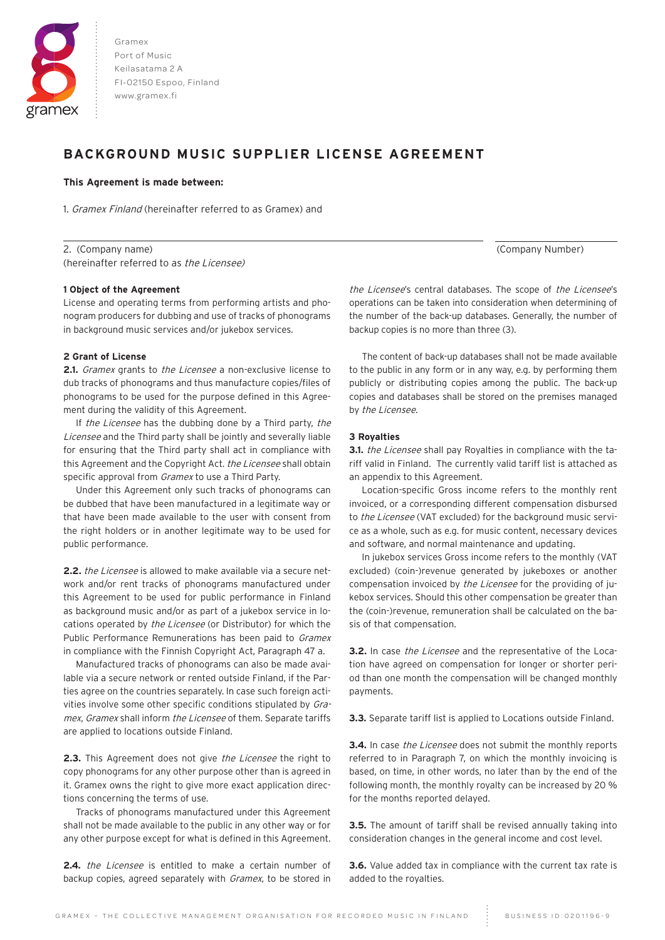

Gramex Port of Music Keilasatama 2 A FI-02150 Espoo, Finland www.gramex.fi

# **BACKGROUND MUSIC SUPPLIER LICENSE AGREEMENT**

# **This Agreement is made between:**

 $\overline{a}$ 

1. Gramex Finland (hereinafter referred to as Gramex) and

2. (Company name) (Company Number) (hereinafter referred to as the Licensee)

# **1 Object of the Agreement**

License and operating terms from performing artists and phonogram producers for dubbing and use of tracks of phonograms in background music services and/or jukebox services.

# **2 Grant of License**

**2.1.** *Gramex* grants to *the Licensee* a non-exclusive license to dub tracks of phonograms and thus manufacture copies/files of phonograms to be used for the purpose defined in this Agreement during the validity of this Agreement.

If the Licensee has the dubbing done by a Third party, the Licensee and the Third party shall be jointly and severally liable for ensuring that the Third party shall act in compliance with this Agreement and the Copyright Act. the Licensee shall obtain specific approval from *Gramex* to use a Third Party.

Under this Agreement only such tracks of phonograms can be dubbed that have been manufactured in a legitimate way or that have been made available to the user with consent from the right holders or in another legitimate way to be used for public performance.

**2.2.** the Licensee is allowed to make available via a secure network and/or rent tracks of phonograms manufactured under this Agreement to be used for public performance in Finland as background music and/or as part of a jukebox service in locations operated by the Licensee (or Distributor) for which the Public Performance Remunerations has been paid to Gramex in compliance with the Finnish Copyright Act, Paragraph 47 a.

Manufactured tracks of phonograms can also be made available via a secure network or rented outside Finland, if the Parties agree on the countries separately. In case such foreign activities involve some other specific conditions stipulated by Gramex, Gramex shall inform the Licensee of them. Separate tariffs are applied to locations outside Finland.

**2.3.** This Agreement does not give *the Licensee* the right to copy phonograms for any other purpose other than is agreed in it. Gramex owns the right to give more exact application directions concerning the terms of use.

Tracks of phonograms manufactured under this Agreement shall not be made available to the public in any other way or for any other purpose except for what is defined in this Agreement.

**2.4.** the Licensee is entitled to make a certain number of backup copies, agreed separately with *Gramex*, to be stored in

the Licensee's central databases. The scope of the Licensee's operations can be taken into consideration when determining of the number of the back-up databases. Generally, the number of backup copies is no more than three (3).

The content of back-up databases shall not be made available to the public in any form or in any way, e.g. by performing them publicly or distributing copies among the public. The back-up copies and databases shall be stored on the premises managed by the Licensee.

# **3 Royalties**

**3.1.** *the Licensee* shall pay Royalties in compliance with the tariff valid in Finland. The currently valid tariff list is attached as an appendix to this Agreement.

Location-specific Gross income refers to the monthly rent invoiced, or a corresponding different compensation disbursed to the Licensee (VAT excluded) for the background music service as a whole, such as e.g. for music content, necessary devices and software, and normal maintenance and updating.

In jukebox services Gross income refers to the monthly (VAT excluded) (coin-)revenue generated by jukeboxes or another compensation invoiced by the Licensee for the providing of jukebox services. Should this other compensation be greater than the (coin-)revenue, remuneration shall be calculated on the basis of that compensation.

**3.2.** In case the Licensee and the representative of the Location have agreed on compensation for longer or shorter period than one month the compensation will be changed monthly payments.

**3.3.** Separate tariff list is applied to Locations outside Finland.

**3.4.** In case the Licensee does not submit the monthly reports referred to in Paragraph 7, on which the monthly invoicing is based, on time, in other words, no later than by the end of the following month, the monthly royalty can be increased by 20 % for the months reported delayed.

**3.5.** The amount of tariff shall be revised annually taking into consideration changes in the general income and cost level.

**3.6.** Value added tax in compliance with the current tax rate is added to the royalties.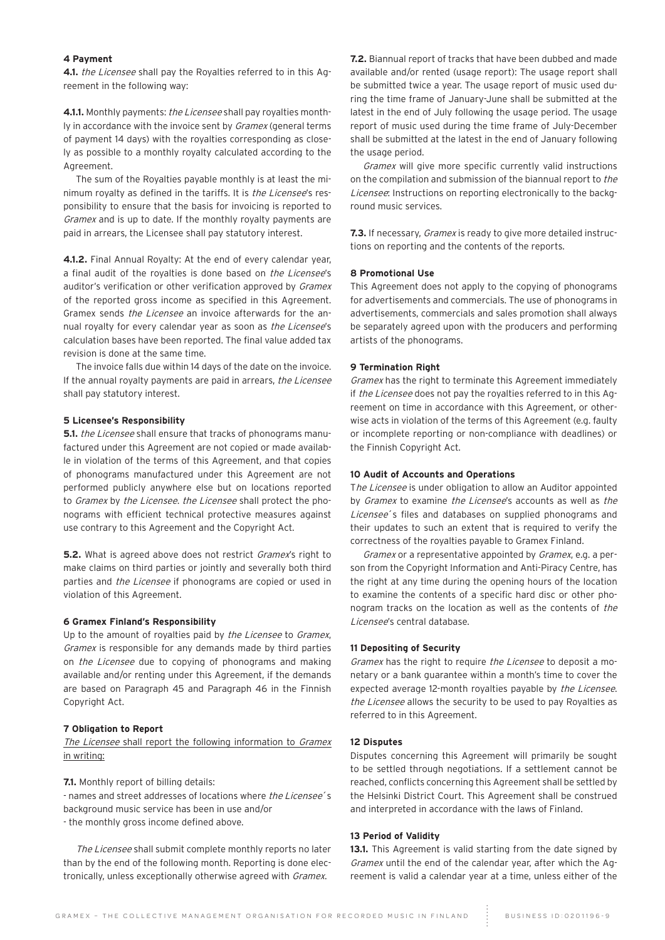# **4 Payment**

**4.1.** the Licensee shall pay the Royalties referred to in this Agreement in the following way:

**4.1.1.** Monthly payments: the Licensee shall pay royalties monthly in accordance with the invoice sent by Gramex (general terms of payment 14 days) with the royalties corresponding as closely as possible to a monthly royalty calculated according to the Agreement.

The sum of the Royalties payable monthly is at least the minimum royalty as defined in the tariffs. It is *the Licensee's* responsibility to ensure that the basis for invoicing is reported to Gramex and is up to date. If the monthly royalty payments are paid in arrears, the Licensee shall pay statutory interest.

**4.1.2.** Final Annual Royalty: At the end of every calendar year, a final audit of the rovalties is done based on *the Licensee's* auditor's verification or other verification approved by *Gramex* of the reported gross income as specified in this Agreement. Gramex sends the Licensee an invoice afterwards for the annual royalty for every calendar year as soon as the Licensee's calculation bases have been reported. The final value added tax revision is done at the same time.

The invoice falls due within 14 days of the date on the invoice. If the annual royalty payments are paid in arrears, the Licensee shall pay statutory interest.

## **5 Licensee's Responsibility**

**5.1.** *the Licensee* shall ensure that tracks of phonograms manufactured under this Agreement are not copied or made available in violation of the terms of this Agreement, and that copies of phonograms manufactured under this Agreement are not performed publicly anywhere else but on locations reported to Gramex by the Licensee. the Licensee shall protect the phonograms with efficient technical protective measures against use contrary to this Agreement and the Copyright Act.

**5.2.** What is agreed above does not restrict Gramex's right to make claims on third parties or jointly and severally both third parties and the Licensee if phonograms are copied or used in violation of this Agreement.

#### **6 Gramex Finland's Responsibility**

Up to the amount of royalties paid by the Licensee to Gramex, Gramex is responsible for any demands made by third parties on the Licensee due to copying of phonograms and making available and/or renting under this Agreement, if the demands are based on Paragraph 45 and Paragraph 46 in the Finnish Copyright Act.

#### **7 Obligation to Report**

The Licensee shall report the following information to Gramex in writing:

**7.1.** Monthly report of billing details:

- names and street addresses of locations where the Licensee's background music service has been in use and/or

- the monthly gross income defined above.

The Licensee shall submit complete monthly reports no later than by the end of the following month. Reporting is done electronically, unless exceptionally otherwise agreed with *Gramex*.

**7.2.** Biannual report of tracks that have been dubbed and made available and/or rented (usage report): The usage report shall be submitted twice a year. The usage report of music used during the time frame of January-June shall be submitted at the latest in the end of July following the usage period. The usage report of music used during the time frame of July-December shall be submitted at the latest in the end of January following the usage period.

Gramex will give more specific currently valid instructions on the compilation and submission of the biannual report to the Licensee: Instructions on reporting electronically to the background music services.

**7.3.** If necessary, *Gramex* is ready to give more detailed instructions on reporting and the contents of the reports.

# **8 Promotional Use**

This Agreement does not apply to the copying of phonograms for advertisements and commercials. The use of phonograms in advertisements, commercials and sales promotion shall always be separately agreed upon with the producers and performing artists of the phonograms.

### **9 Termination Right**

Gramex has the right to terminate this Agreement immediately if the Licensee does not pay the royalties referred to in this Agreement on time in accordance with this Agreement, or otherwise acts in violation of the terms of this Agreement (e.g. faulty or incomplete reporting or non-compliance with deadlines) or the Finnish Copyright Act.

## **10 Audit of Accounts and Operations**

The Licensee is under obligation to allow an Auditor appointed by Gramex to examine the Licensee's accounts as well as the Licensee's files and databases on supplied phonograms and their updates to such an extent that is required to verify the correctness of the royalties payable to Gramex Finland.

Gramex or a representative appointed by Gramex, e.g. a person from the Copyright Information and Anti-Piracy Centre, has the right at any time during the opening hours of the location to examine the contents of a specific hard disc or other phonogram tracks on the location as well as the contents of the Licensee's central database.

#### **11 Depositing of Security**

Gramex has the right to require the Licensee to deposit a monetary or a bank guarantee within a month's time to cover the expected average 12-month royalties payable by the Licensee. the Licensee allows the security to be used to pay Royalties as referred to in this Agreement.

### **12 Disputes**

Disputes concerning this Agreement will primarily be sought to be settled through negotiations. If a settlement cannot be reached, conflicts concerning this Agreement shall be settled by the Helsinki District Court. This Agreement shall be construed and interpreted in accordance with the laws of Finland.

## **13 Period of Validity**

13.1. This Agreement is valid starting from the date signed by Gramex until the end of the calendar year, after which the Agreement is valid a calendar year at a time, unless either of the